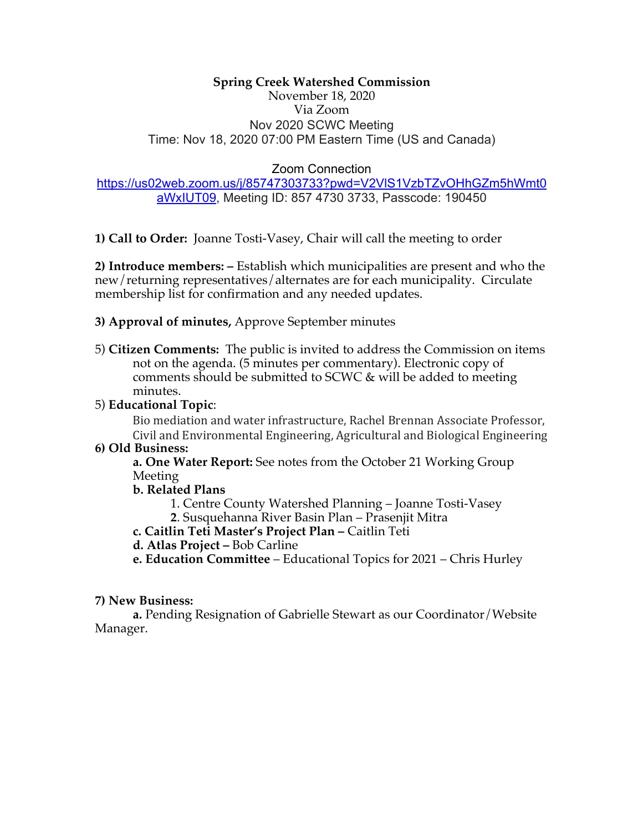# **Spring Creek Watershed Commission**

November 18, 2020 Via Zoom Nov 2020 SCWC Meeting Time: Nov 18, 2020 07:00 PM Eastern Time (US and Canada)

### Zoom Connection

#### https://us02web.zoom.us/j/85747303733?pwd=V2VlS1VzbTZvOHhGZm5hWmt0 aWxIUT09, Meeting ID: 857 4730 3733, Passcode: 190450

**1) Call to Order:** Joanne Tosti-Vasey, Chair will call the meeting to order

**2) Introduce members: –** Establish which municipalities are present and who the new/returning representatives/alternates are for each municipality. Circulate membership list for confirmation and any needed updates.

#### **3) Approval of minutes,** Approve September minutes

5) **Citizen Comments:** The public is invited to address the Commission on items not on the agenda. (5 minutes per commentary). Electronic copy of comments should be submitted to SCWC & will be added to meeting minutes.

## 5) **Educational Topic**:

Bio mediation and water infrastructure, Rachel Brennan Associate Professor, Civil and Environmental Engineering, Agricultural and Biological Engineering

#### **6) Old Business:**

**a. One Water Report:** See notes from the October 21 Working Group Meeting

#### **b. Related Plans**

1. Centre County Watershed Planning – Joanne Tosti-Vasey

**2**. Susquehanna River Basin Plan – Prasenjit Mitra

**c. Caitlin Teti Master's Project Plan –** Caitlin Teti

- **d. Atlas Project –** Bob Carline
- **e. Education Committee**  Educational Topics for 2021 Chris Hurley

## **7) New Business:**

**a.** Pending Resignation of Gabrielle Stewart as our Coordinator/Website Manager.